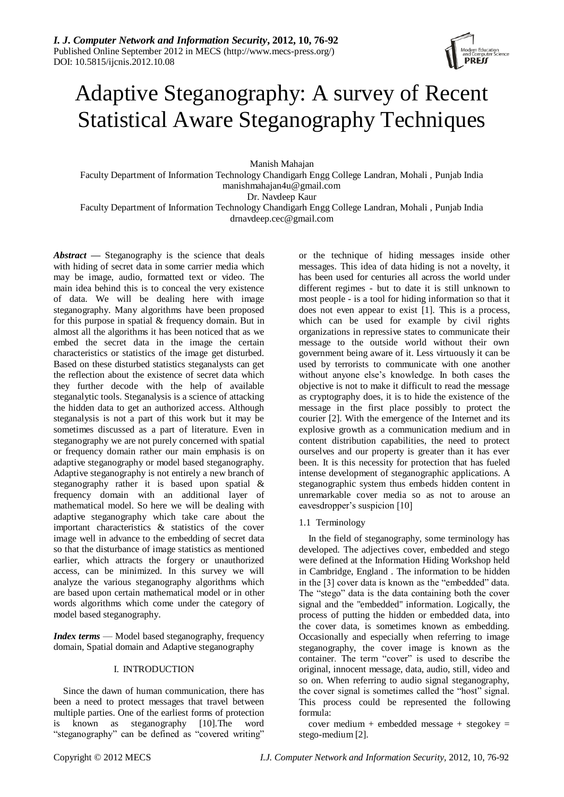

# Adaptive Steganography: A survey of Recent Statistical Aware Steganography Techniques

Manish Mahajan

Faculty Department of Information Technology Chandigarh Engg College Landran, Mohali , Punjab India manishmahajan4u@gmail.com

Dr. Navdeep Kaur

Faculty Department of Information Technology Chandigarh Engg College Landran, Mohali , Punjab India drnavdeep.cec@gmail.com

*Abstract —* Steganography is the science that deals with hiding of secret data in some carrier media which may be image, audio, formatted text or video. The main idea behind this is to conceal the very existence of data. We will be dealing here with image steganography. Many algorithms have been proposed for this purpose in spatial & frequency domain. But in almost all the algorithms it has been noticed that as we embed the secret data in the image the certain characteristics or statistics of the image get disturbed. Based on these disturbed statistics steganalysts can get the reflection about the existence of secret data which they further decode with the help of available steganalytic tools. Steganalysis is a science of attacking the hidden data to get an authorized access. Although steganalysis is not a part of this work but it may be sometimes discussed as a part of literature. Even in steganography we are not purely concerned with spatial or frequency domain rather our main emphasis is on adaptive steganography or model based steganography. Adaptive steganography is not entirely a new branch of steganography rather it is based upon spatial & frequency domain with an additional layer of mathematical model. So here we will be dealing with adaptive steganography which take care about the important characteristics & statistics of the cover image well in advance to the embedding of secret data so that the disturbance of image statistics as mentioned earlier, which attracts the forgery or unauthorized access, can be minimized. In this survey we will analyze the various steganography algorithms which are based upon certain mathematical model or in other words algorithms which come under the category of model based steganography.

*Index terms* — Model based steganography, frequency domain, Spatial domain and Adaptive steganography

# I. INTRODUCTION

Since the dawn of human communication, there has been a need to protect messages that travel between multiple parties. One of the earliest forms of protection is known as steganography [10].The word "steganography" can be defined as "covered writing"

or the technique of hiding messages inside other messages. This idea of data hiding is not a novelty, it has been used for centuries all across the world under different regimes - but to date it is still unknown to most people - is a tool for hiding information so that it does not even appear to exist [1]. This is a process, which can be used for example by civil rights organizations in repressive states to communicate their message to the outside world without their own government being aware of it. Less virtuously it can be used by terrorists to communicate with one another without anyone else's knowledge. In both cases the objective is not to make it difficult to read the message as cryptography does, it is to hide the existence of the message in the first place possibly to protect the courier [2]. With the emergence of the Internet and its explosive growth as a communication medium and in content distribution capabilities, the need to protect ourselves and our property is greater than it has ever been. It is this necessity for protection that has fueled intense development of steganographic applications. A steganographic system thus embeds hidden content in unremarkable cover media so as not to arouse an eavesdropper's suspicion [10]

1.1 Terminology

In the field of steganography, some terminology has developed. The adjectives cover, embedded and stego were defined at the Information Hiding Workshop held in Cambridge, England . The information to be hidden in the  $[3]$  cover data is known as the "embedded" data. The "stego" data is the data containing both the cover signal and the "embedded'' information. Logically, the process of putting the hidden or embedded data, into the cover data, is sometimes known as embedding. Occasionally and especially when referring to image steganography, the cover image is known as the container. The term "cover" is used to describe the original, innocent message, data, audio, still, video and so on. When referring to audio signal steganography, the cover signal is sometimes called the "host" signal. This process could be represented the following formula:

cover medium + embedded message + stegokey = stego-medium [2].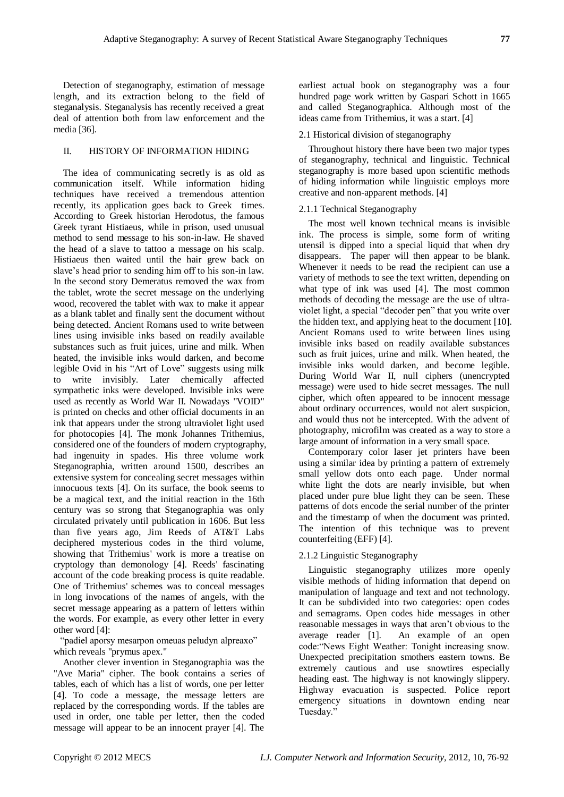Detection of steganography, estimation of message length, and its extraction belong to the field of steganalysis. Steganalysis has recently received a great deal of attention both from law enforcement and the media [36].

## II. HISTORY OF INFORMATION HIDING

The idea of communicating secretly is as old as communication itself. While information hiding techniques have received a tremendous attention recently, its application goes back to Greek times. According to Greek historian Herodotus, the famous Greek tyrant Histiaeus, while in prison, used unusual method to send message to his son-in-law. He shaved the head of a slave to tattoo a message on his scalp. Histiaeus then waited until the hair grew back on slave's head prior to sending him off to his son-in law. In the second story Demeratus removed the wax from the tablet, wrote the secret message on the underlying wood, recovered the tablet with wax to make it appear as a blank tablet and finally sent the document without being detected. Ancient Romans used to write between lines using invisible inks based on readily available substances such as fruit juices, urine and milk. When heated, the invisible inks would darken, and become legible Ovid in his "Art of Love" suggests using milk to write invisibly. Later chemically affected sympathetic inks were developed. Invisible inks were used as recently as World War II. Nowadays "VOID" is printed on checks and other official documents in an ink that appears under the strong ultraviolet light used for photocopies [4]. The monk Johannes Trithemius, considered one of the founders of modern cryptography, had ingenuity in spades. His three volume work Steganographia, written around 1500, describes an extensive system for concealing secret messages within innocuous texts [4]. On its surface, the book seems to be a magical text, and the initial reaction in the 16th century was so strong that Steganographia was only circulated privately until publication in 1606. But less than five years ago, Jim Reeds of AT&T Labs deciphered mysterious codes in the third volume, showing that Trithemius' work is more a treatise on cryptology than demonology [4]. Reeds' fascinating account of the code breaking process is quite readable. One of Trithemius' schemes was to conceal messages in long invocations of the names of angels, with the secret message appearing as a pattern of letters within the words. For example, as every other letter in every other word [4]:

"padiel aporsy mesarpon omeuas peludyn alpreaxo" which reveals "prymus apex."

Another clever invention in Steganographia was the "Ave Maria" cipher. The book contains a series of tables, each of which has a list of words, one per letter [4]. To code a message, the message letters are replaced by the corresponding words. If the tables are used in order, one table per letter, then the coded message will appear to be an innocent prayer [4]. The

earliest actual book on steganography was a four hundred page work written by Gaspari Schott in 1665 and called Steganographica. Although most of the ideas came from Trithemius, it was a start. [4]

### 2.1 Historical division of steganography

Throughout history there have been two major types of steganography, technical and linguistic. Technical steganography is more based upon scientific methods of hiding information while linguistic employs more creative and non-apparent methods. [4]

#### 2.1.1 Technical Steganography

The most well known technical means is invisible ink. The process is simple, some form of writing utensil is dipped into a special liquid that when dry disappears. The paper will then appear to be blank. Whenever it needs to be read the recipient can use a variety of methods to see the text written, depending on what type of ink was used [4]. The most common methods of decoding the message are the use of ultraviolet light, a special "decoder pen" that you write over the hidden text, and applying heat to the document [10]. Ancient Romans used to write between lines using invisible inks based on readily available substances such as fruit juices, urine and milk. When heated, the invisible inks would darken, and become legible. During World War II, null ciphers (unencrypted message) were used to hide secret messages. The null cipher, which often appeared to be innocent message about ordinary occurrences, would not alert suspicion, and would thus not be intercepted. With the advent of photography, microfilm was created as a way to store a large amount of information in a very small space.

Contemporary color laser jet printers have been using a similar idea by printing a pattern of extremely small yellow dots onto each page. Under normal white light the dots are nearly invisible, but when placed under pure blue light they can be seen. These patterns of dots encode the serial number of the printer and the timestamp of when the document was printed. The intention of this technique was to prevent counterfeiting (EFF) [4].

### 2.1.2 Linguistic Steganography

Linguistic steganography utilizes more openly visible methods of hiding information that depend on manipulation of language and text and not technology. It can be subdivided into two categories: open codes and semagrams. Open codes hide messages in other reasonable messages in ways that aren't obvious to the average reader [1]. An example of an open code: "News Eight Weather: Tonight increasing snow. Unexpected precipitation smothers eastern towns. Be extremely cautious and use snowtires especially heading east. The highway is not knowingly slippery. Highway evacuation is suspected. Police report emergency situations in downtown ending near Tuesday.'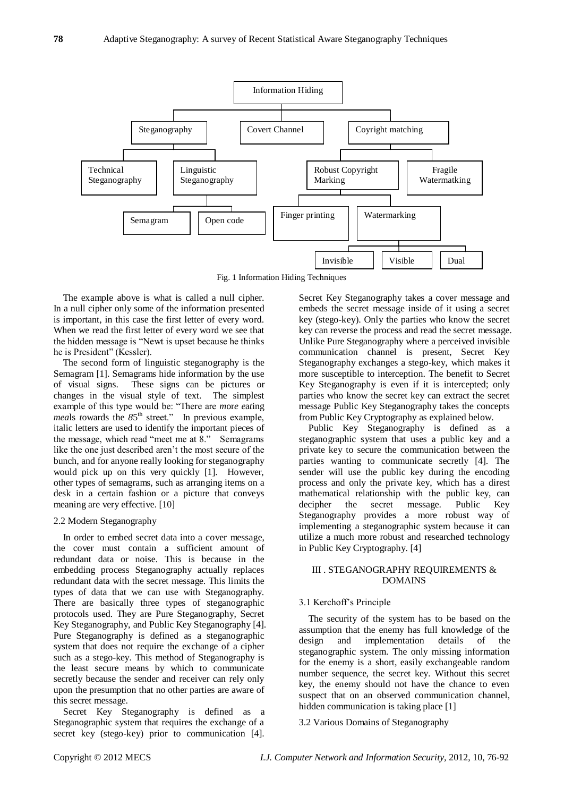

Fig. 1 Information Hiding Techniques

The example above is what is called a null cipher. In a null cipher only some of the information presented is important, in this case the first letter of every word. When we read the first letter of every word we see that the hidden message is "Newt is upset because he thinks" he is President" (Kessler).

The second form of linguistic steganography is the Semagram [1]. Semagrams hide information by the use of visual signs. These signs can be pictures or changes in the visual style of text. The simplest example of this type would be: "There are *more eating meals towards the 85<sup>th</sup> street.*" In previous example, italic letters are used to identify the important pieces of the message, which read "meet me at 8." Semagrams like the one just described aren't the most secure of the bunch, and for anyone really looking for steganography would pick up on this very quickly [1]. However, other types of semagrams, such as arranging items on a desk in a certain fashion or a picture that conveys meaning are very effective. [10]

### 2.2 Modern Steganography

In order to embed secret data into a cover message, the cover must contain a sufficient amount of redundant data or noise. This is because in the embedding process Steganography actually replaces redundant data with the secret message. This limits the types of data that we can use with Steganography. There are basically three types of steganographic protocols used. They are Pure Steganography, Secret Key Steganography, and Public Key Steganography [4]. Pure Steganography is defined as a steganographic system that does not require the exchange of a cipher such as a stego-key. This method of Steganography is the least secure means by which to communicate secretly because the sender and receiver can rely only upon the presumption that no other parties are aware of this secret message.

Secret Key Steganography is defined as a Steganographic system that requires the exchange of a secret key (stego-key) prior to communication [4].

Secret Key Steganography takes a cover message and embeds the secret message inside of it using a secret key (stego-key). Only the parties who know the secret key can reverse the process and read the secret message. Unlike Pure Steganography where a perceived invisible communication channel is present, Secret Key Steganography exchanges a stego-key, which makes it more susceptible to interception. The benefit to Secret Key Steganography is even if it is intercepted; only parties who know the secret key can extract the secret message Public Key Steganography takes the concepts from Public Key Cryptography as explained below.

Public Key Steganography is defined as a steganographic system that uses a public key and a private key to secure the communication between the parties wanting to communicate secretly [4]. The sender will use the public key during the encoding process and only the private key, which has a direst mathematical relationship with the public key, can decipher the secret message. Public Key Steganography provides a more robust way of implementing a steganographic system because it can utilize a much more robust and researched technology in Public Key Cryptography. [4]

# III . STEGANOGRAPHY REQUIREMENTS & DOMAINS

### 3.1 Kerchoff's Principle

The security of the system has to be based on the assumption that the enemy has full knowledge of the design and implementation details of the steganographic system. The only missing information for the enemy is a short, easily exchangeable random number sequence, the secret key. Without this secret key, the enemy should not have the chance to even suspect that on an observed communication channel, hidden communication is taking place [1]

## 3.2 Various Domains of Steganography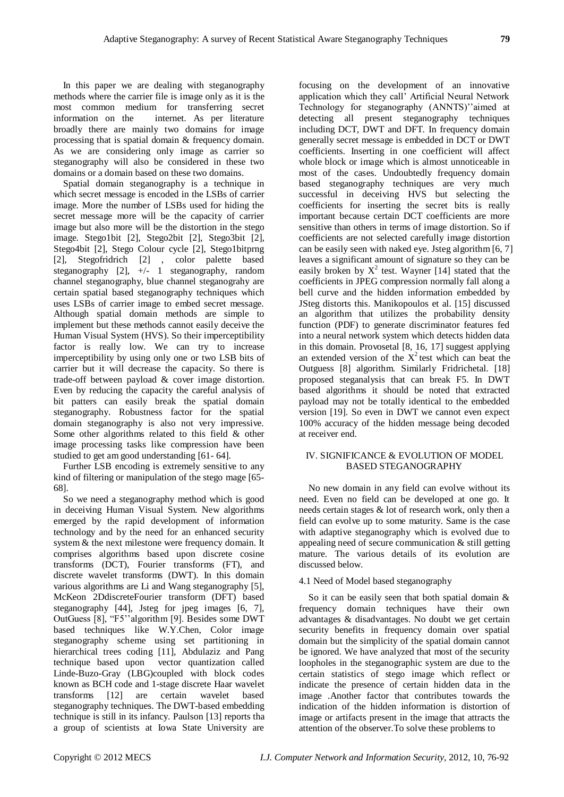In this paper we are dealing with steganography methods where the carrier file is image only as it is the most common medium for transferring secret information on the internet. As per literature broadly there are mainly two domains for image processing that is spatial domain & frequency domain. As we are considering only image as carrier so steganography will also be considered in these two domains or a domain based on these two domains.

Spatial domain steganography is a technique in which secret message is encoded in the LSBs of carrier image. More the number of LSBs used for hiding the secret message more will be the capacity of carrier image but also more will be the distortion in the stego image. Stego1bit [2], Stego2bit [2], Stego3bit [2], Stego4bit [2], Stego Colour cycle [2], Stego1bitprng [2], Stegofridrich [2] , color palette based steganography [2], +/- 1 steganography, random channel steganography, blue channel steganograhy are certain spatial based steganography techniques which uses LSBs of carrier image to embed secret message. Although spatial domain methods are simple to implement but these methods cannot easily deceive the Human Visual System (HVS). So their imperceptibility factor is really low. We can try to increase imperceptibility by using only one or two LSB bits of carrier but it will decrease the capacity. So there is trade-off between payload & cover image distortion. Even by reducing the capacity the careful analysis of bit patters can easily break the spatial domain steganography. Robustness factor for the spatial domain steganography is also not very impressive. Some other algorithms related to this field & other image processing tasks like compression have been studied to get am good understanding [61- 64].

Further LSB encoding is extremely sensitive to any kind of filtering or manipulation of the stego mage [65- 68].

So we need a steganography method which is good in deceiving Human Visual System. New algorithms emerged by the rapid development of information technology and by the need for an enhanced security system & the next milestone were frequency domain. It comprises algorithms based upon discrete cosine transforms (DCT), Fourier transforms (FT), and discrete wavelet transforms (DWT). In this domain various algorithms are Li and Wang steganography [5], McKeon 2DdiscreteFourier transform (DFT) based steganography [44], Jsteg for jpeg images [6, 7], OutGuess [8], "F5" algorithm [9]. Besides some DWT based techniques like W.Y.Chen, Color image steganography scheme using set partitioning in hierarchical trees coding [11], Abdulaziz and Pang technique based upon vector quantization called Linde-Buzo-Gray (LBG)coupled with block codes known as BCH code and 1-stage discrete Haar wavelet transforms [12] are certain wavelet based steganography techniques. The DWT-based embedding technique is still in its infancy. Paulson [13] reports tha a group of scientists at Iowa State University are

focusing on the development of an innovative application which they call' Artificial Neural Network Technology for steganography (ANNTS)''aimed at detecting all present steganography techniques including DCT, DWT and DFT. In frequency domain generally secret message is embedded in DCT or DWT coefficients. Inserting in one coefficient will affect whole block or image which is almost unnoticeable in most of the cases. Undoubtedly frequency domain based steganography techniques are very much successful in deceiving HVS but selecting the coefficients for inserting the secret bits is really important because certain DCT coefficients are more sensitive than others in terms of image distortion. So if coefficients are not selected carefully image distortion can be easily seen with naked eye. Jsteg algorithm [6, 7] leaves a significant amount of signature so they can be easily broken by  $X^2$  test. Wayner [14] stated that the coefficients in JPEG compression normally fall along a bell curve and the hidden information embedded by JSteg distorts this. Manikopoulos et al. [15] discussed an algorithm that utilizes the probability density function (PDF) to generate discriminator features fed into a neural network system which detects hidden data in this domain. Provosetal [8, 16, 17] suggest applying an extended version of the  $X^2$  test which can beat the Outguess [8] algorithm. Similarly Fridrichetal. [18] proposed steganalysis that can break F5. In DWT based algorithms it should be noted that extracted payload may not be totally identical to the embedded version [19]. So even in DWT we cannot even expect 100% accuracy of the hidden message being decoded at receiver end.

# IV. SIGNIFICANCE & EVOLUTION OF MODEL BASED STEGANOGRAPHY

No new domain in any field can evolve without its need. Even no field can be developed at one go. It needs certain stages & lot of research work, only then a field can evolve up to some maturity. Same is the case with adaptive steganography which is evolved due to appealing need of secure communication & still getting mature. The various details of its evolution are discussed below.

# 4.1 Need of Model based steganography

So it can be easily seen that both spatial domain & frequency domain techniques have their own advantages & disadvantages. No doubt we get certain security benefits in frequency domain over spatial domain but the simplicity of the spatial domain cannot be ignored. We have analyzed that most of the security loopholes in the steganographic system are due to the certain statistics of stego image which reflect or indicate the presence of certain hidden data in the image .Another factor that contributes towards the indication of the hidden information is distortion of image or artifacts present in the image that attracts the attention of the observer.To solve these problems to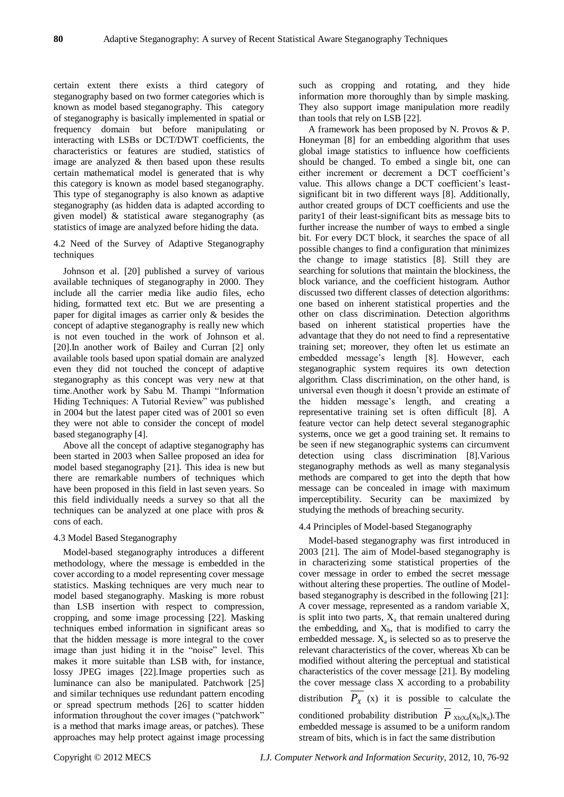certain extent there exists a third category of steganography based on two former categories which is known as model based steganography. This category of steganography is basically implemented in spatial or frequency domain but before manipulating or interacting with LSBs or DCT/DWT coefficients, the characteristics or features are studied, statistics of image are analyzed & then based upon these results certain mathematical model is generated that is why this category is known as model based steganography. This type of steganography is also known as adaptive steganography (as hidden data is adapted according to given model) & statistical aware steganography (as statistics of image are analyzed before hiding the data.

4.2 Need of the Survey of Adaptive Steganography techniques

Johnson et al. [20] published a survey of various available techniques of steganography in 2000. They include all the carrier media like audio files, echo hiding, formatted text etc. But we are presenting a paper for digital images as carrier only & besides the concept of adaptive steganography is really new which is not even touched in the work of Johnson et al. [20].In another work of Bailey and Curran [2] only available tools based upon spatial domain are analyzed even they did not touched the concept of adaptive steganography as this concept was very new at that time. Another work by Sabu M. Thampi "Information Hiding Techniques: A Tutorial Review" was published in 2004 but the latest paper cited was of 2001 so even they were not able to consider the concept of model based steganography [4].

Above all the concept of adaptive steganography has been started in 2003 when Sallee proposed an idea for model based steganography [21]. This idea is new but there are remarkable numbers of techniques which have been proposed in this field in last seven years. So this field individually needs a survey so that all the techniques can be analyzed at one place with pros & cons of each.

### 4.3 Model Based Steganography

Model-based steganography introduces a different methodology, where the message is embedded in the cover according to a model representing cover message statistics. Masking techniques are very much near to model based steganography. Masking is more robust than LSB insertion with respect to compression, cropping, and some image processing [22]. Masking techniques embed information in significant areas so that the hidden message is more integral to the cover image than just hiding it in the "noise" level. This makes it more suitable than LSB with, for instance, lossy JPEG images [22].Image properties such as luminance can also be manipulated. Patchwork [25] and similar techniques use redundant pattern encoding or spread spectrum methods [26] to scatter hidden information throughout the cover images ("patchwork" is a method that marks image areas, or patches). These approaches may help protect against image processing

such as cropping and rotating, and they hide information more thoroughly than by simple masking. They also support image manipulation more readily than tools that rely on LSB [22].

A framework has been proposed by N. Provos & P. Honeyman [8] for an embedding algorithm that uses global image statistics to influence how coefficients should be changed. To embed a single bit, one can either increment or decrement a DCT coefficient's value. This allows change a DCT coefficient's leastsignificant bit in two different ways [8]. Additionally, author created groups of DCT coefficients and use the parity1 of their least-significant bits as message bits to further increase the number of ways to embed a single bit. For every DCT block, it searches the space of all possible changes to find a configuration that minimizes the change to image statistics [8]. Still they are searching for solutions that maintain the blockiness, the block variance, and the coefficient histogram. Author discussed two different classes of detection algorithms: one based on inherent statistical properties and the other on class discrimination. Detection algorithms based on inherent statistical properties have the advantage that they do not need to find a representative training set; moreover, they often let us estimate an embedded message's length [8]. However, each steganographic system requires its own detection algorithm. Class discrimination, on the other hand, is universal even though it doesn't provide an estimate of the hidden message's length, and creating a representative training set is often difficult [8]. A feature vector can help detect several steganographic systems, once we get a good training set. It remains to be seen if new steganographic systems can circumvent detection using class discrimination [8].Various steganography methods as well as many steganalysis methods are compared to get into the depth that how message can be concealed in image with maximum imperceptibility. Security can be maximized by studying the methods of breaching security.

### 4.4 Principles of Model-based Steganography

Model-based steganography was first introduced in 2003 [21]. The aim of Model-based steganography is in characterizing some statistical properties of the cover message in order to embed the secret message without altering these properties. The outline of Modelbased steganography is described in the following [21]: A cover message, represented as a random variable X, is split into two parts,  $X_a$  that remain unaltered during the embedding, and  $X<sub>b</sub>$ , that is modified to carry the embedded message.  $X_a$  is selected so as to preserve the relevant characteristics of the cover, whereas Xb can be modified without altering the perceptual and statistical characteristics of the cover message [21]. By modeling the cover message class X according to a probability distribution  $P_X$  (x) it is possible to calculate the conditioned probability distribution  $P_{Xb|Xa}(x_b|x_a)$ . The embedded message is assumed to be a uniform random stream of bits, which is in fact the same distribution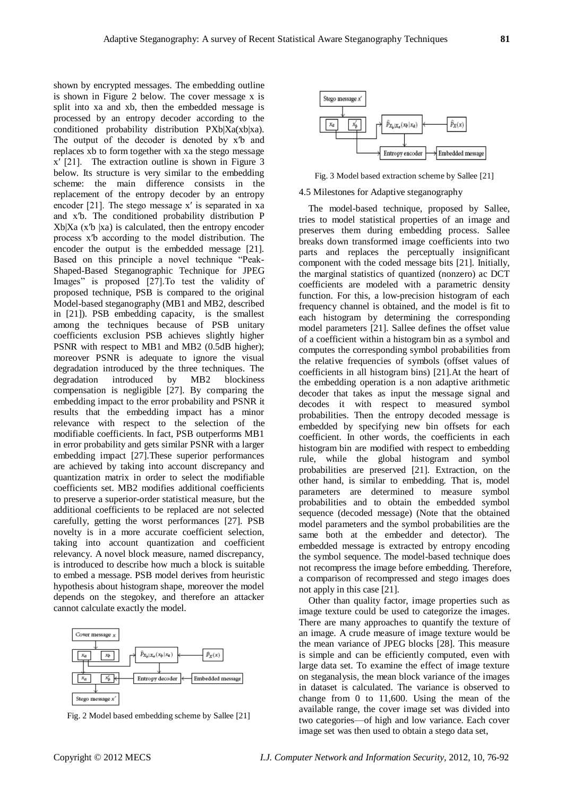shown by encrypted messages. The embedding outline is shown in Figure 2 below. The cover message x is split into xa and xb, then the embedded message is processed by an entropy decoder according to the conditioned probability distribution PXb|Xa(xb|xa). The output of the decoder is denoted by x<sup>'b</sup> and replaces xb to form together with xa the stego message x′ [21]. The extraction outline is shown in Figure 3 below. Its structure is very similar to the embedding scheme: the main difference consists in the replacement of the entropy decoder by an entropy encoder [21]. The stego message x′ is separated in xa and x′b. The conditioned probability distribution P  $Xb|Xa$  (x<sup>'</sup>b |xa) is calculated, then the entropy encoder process x′b according to the model distribution. The encoder the output is the embedded message [21]. Based on this principle a novel technique "Peak-Shaped-Based Steganographic Technique for JPEG Images" is proposed [27]. To test the validity of proposed technique, PSB is compared to the original Model-based steganography (MB1 and MB2, described in [21]). PSB embedding capacity, is the smallest among the techniques because of PSB unitary coefficients exclusion PSB achieves slightly higher PSNR with respect to MB1 and MB2 (0.5dB higher); moreover PSNR is adequate to ignore the visual degradation introduced by the three techniques. The degradation introduced by MB2 blockiness compensation is negligible [27]. By comparing the embedding impact to the error probability and PSNR it results that the embedding impact has a minor relevance with respect to the selection of the modifiable coefficients. In fact, PSB outperforms MB1 in error probability and gets similar PSNR with a larger embedding impact [27].These superior performances are achieved by taking into account discrepancy and quantization matrix in order to select the modifiable coefficients set. MB2 modifies additional coefficients to preserve a superior-order statistical measure, but the additional coefficients to be replaced are not selected carefully, getting the worst performances [27]. PSB novelty is in a more accurate coefficient selection, taking into account quantization and coefficient relevancy. A novel block measure, named discrepancy, is introduced to describe how much a block is suitable to embed a message. PSB model derives from heuristic hypothesis about histogram shape, moreover the model depends on the stegokey, and therefore an attacker cannot calculate exactly the model.



Fig. 2 Model based embedding scheme by Sallee [21]



Fig. 3 Model based extraction scheme by Sallee [21]

#### 4.5 Milestones for Adaptive steganography

The model-based technique, proposed by Sallee, tries to model statistical properties of an image and preserves them during embedding process. Sallee breaks down transformed image coefficients into two parts and replaces the perceptually insignificant component with the coded message bits [21]. Initially, the marginal statistics of quantized (nonzero) ac DCT coefficients are modeled with a parametric density function. For this, a low-precision histogram of each frequency channel is obtained, and the model is fit to each histogram by determining the corresponding model parameters [21]. Sallee defines the offset value of a coefficient within a histogram bin as a symbol and computes the corresponding symbol probabilities from the relative frequencies of symbols (offset values of coefficients in all histogram bins) [21].At the heart of the embedding operation is a non adaptive arithmetic decoder that takes as input the message signal and decodes it with respect to measured symbol probabilities. Then the entropy decoded message is embedded by specifying new bin offsets for each coefficient. In other words, the coefficients in each histogram bin are modified with respect to embedding rule, while the global histogram and symbol probabilities are preserved [21]. Extraction, on the other hand, is similar to embedding. That is, model parameters are determined to measure symbol probabilities and to obtain the embedded symbol sequence (decoded message) (Note that the obtained model parameters and the symbol probabilities are the same both at the embedder and detector). The embedded message is extracted by entropy encoding the symbol sequence. The model-based technique does not recompress the image before embedding. Therefore, a comparison of recompressed and stego images does not apply in this case [21].

Other than quality factor, image properties such as image texture could be used to categorize the images. There are many approaches to quantify the texture of an image. A crude measure of image texture would be the mean variance of JPEG blocks [28]. This measure is simple and can be efficiently computed, even with large data set. To examine the effect of image texture on steganalysis, the mean block variance of the images in dataset is calculated. The variance is observed to change from 0 to 11,600. Using the mean of the available range, the cover image set was divided into two categories—of high and low variance. Each cover image set was then used to obtain a stego data set,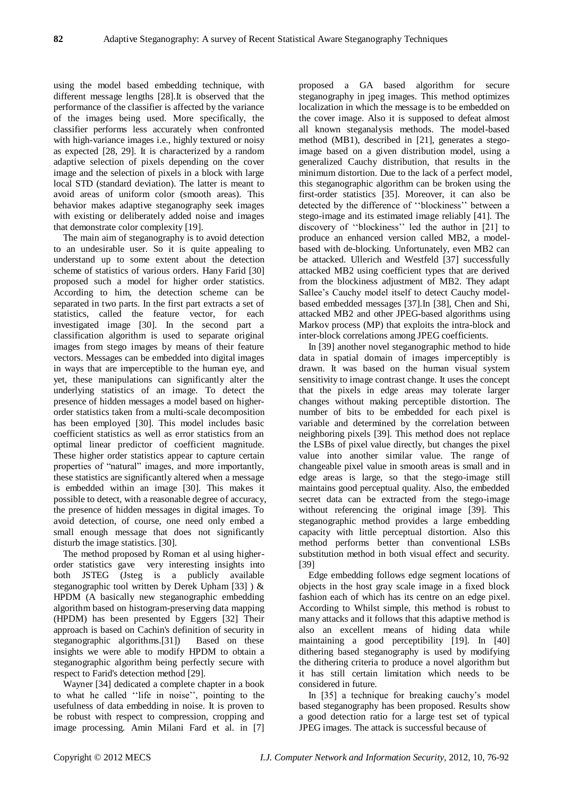using the model based embedding technique, with different message lengths [28].It is observed that the performance of the classifier is affected by the variance of the images being used. More specifically, the classifier performs less accurately when confronted with high-variance images i.e., highly textured or noisy as expected [28, 29]. It is characterized by a random adaptive selection of pixels depending on the cover image and the selection of pixels in a block with large local STD (standard deviation). The latter is meant to avoid areas of uniform color (smooth areas). This behavior makes adaptive steganography seek images with existing or deliberately added noise and images that demonstrate color complexity [19].

The main aim of steganography is to avoid detection to an undesirable user. So it is quite appealing to understand up to some extent about the detection scheme of statistics of various orders. Hany Farid [30] proposed such a model for higher order statistics. According to him, the detection scheme can be separated in two parts. In the first part extracts a set of statistics, called the feature vector, for each investigated image [30]. In the second part a classification algorithm is used to separate original images from stego images by means of their feature vectors. Messages can be embedded into digital images in ways that are imperceptible to the human eye, and yet, these manipulations can significantly alter the underlying statistics of an image. To detect the presence of hidden messages a model based on higherorder statistics taken from a multi-scale decomposition has been employed [30]. This model includes basic coefficient statistics as well as error statistics from an optimal linear predictor of coefficient magnitude. These higher order statistics appear to capture certain properties of "natural" images, and more importantly, these statistics are significantly altered when a message is embedded within an image [30]. This makes it possible to detect, with a reasonable degree of accuracy, the presence of hidden messages in digital images. To avoid detection, of course, one need only embed a small enough message that does not significantly disturb the image statistics. [30].

The method proposed by Roman et al using higherorder statistics gave very interesting insights into both JSTEG (Jsteg is a publicly available steganographic tool written by Derek Upham [33] ) & HPDM (A basically new steganographic embedding algorithm based on histogram-preserving data mapping (HPDM) has been presented by Eggers [32] Their approach is based on Cachin's definition of security in steganographic algorithms.<sup>[31]</sup>) Based on these insights we were able to modify HPDM to obtain a steganographic algorithm being perfectly secure with respect to Farid's detection method [29].

Wayner [34] dedicated a complete chapter in a book to what he called "life in noise", pointing to the usefulness of data embedding in noise. It is proven to be robust with respect to compression, cropping and image processing. Amin Milani Fard et al. in [7]

proposed a GA based algorithm for secure steganography in jpeg images. This method optimizes localization in which the message is to be embedded on the cover image. Also it is supposed to defeat almost all known steganalysis methods. The model-based method (MB1), described in [21], generates a stegoimage based on a given distribution model, using a generalized Cauchy distribution, that results in the minimum distortion. Due to the lack of a perfect model, this steganographic algorithm can be broken using the first-order statistics [35]. Moreover, it can also be detected by the difference of "blockiness" between a stego-image and its estimated image reliably [41]. The discovery of "blockiness" led the author in [21] to produce an enhanced version called MB2, a modelbased with de-blocking. Unfortunately, even MB2 can be attacked. Ullerich and Westfeld [37] successfully attacked MB2 using coefficient types that are derived from the blockiness adjustment of MB2. They adapt Sallee's Cauchy model itself to detect Cauchy modelbased embedded messages [37].In [38], Chen and Shi, attacked MB2 and other JPEG-based algorithms using Markov process (MP) that exploits the intra-block and inter-block correlations among JPEG coefficients.

In [39] another novel steganographic method to hide data in spatial domain of images imperceptibly is drawn. It was based on the human visual system sensitivity to image contrast change. It uses the concept that the pixels in edge areas may tolerate larger changes without making perceptible distortion. The number of bits to be embedded for each pixel is variable and determined by the correlation between neighboring pixels [39]. This method does not replace the LSBs of pixel value directly, but changes the pixel value into another similar value. The range of changeable pixel value in smooth areas is small and in edge areas is large, so that the stego-image still maintains good perceptual quality. Also, the embedded secret data can be extracted from the stego-image without referencing the original image [39]. This steganographic method provides a large embedding capacity with little perceptual distortion. Also this method performs better than conventional LSBs substitution method in both visual effect and security. [39]

Edge embedding follows edge segment locations of objects in the host gray scale image in a fixed block fashion each of which has its centre on an edge pixel. According to Whilst simple, this method is robust to many attacks and it follows that this adaptive method is also an excellent means of hiding data while maintaining a good perceptibility [19]. In [40] dithering based steganography is used by modifying the dithering criteria to produce a novel algorithm but it has still certain limitation which needs to be considered in future.

In [35] a technique for breaking cauchy's model based steganography has been proposed. Results show a good detection ratio for a large test set of typical JPEG images. The attack is successful because of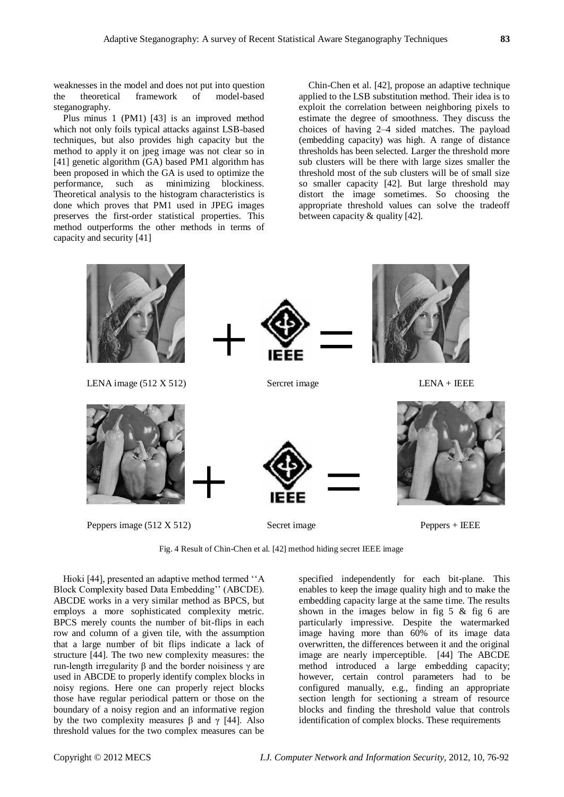weaknesses in the model and does not put into question the theoretical framework of model-based steganography.

Plus minus 1 (PM1) [43] is an improved method which not only foils typical attacks against LSB-based techniques, but also provides high capacity but the method to apply it on jpeg image was not clear so in [41] genetic algorithm (GA) based PM1 algorithm has been proposed in which the GA is used to optimize the performance, such as minimizing blockiness. Theoretical analysis to the histogram characteristics is done which proves that PM1 used in JPEG images preserves the first-order statistical properties. This method outperforms the other methods in terms of capacity and security [41]

Chin-Chen et al. [42], propose an adaptive technique applied to the LSB substitution method. Their idea is to exploit the correlation between neighboring pixels to estimate the degree of smoothness. They discuss the choices of having 2–4 sided matches. The payload (embedding capacity) was high. A range of distance thresholds has been selected. Larger the threshold more sub clusters will be there with large sizes smaller the threshold most of the sub clusters will be of small size so smaller capacity [42]. But large threshold may distort the image sometimes. So choosing the appropriate threshold values can solve the tradeoff between capacity & quality [42].



Fig. 4 Result of Chin-Chen et al. [42] method hiding secret IEEE image

Hioki [44], presented an adaptive method termed "A Block Complexity based Data Embedding'' (ABCDE). ABCDE works in a very similar method as BPCS, but employs a more sophisticated complexity metric. BPCS merely counts the number of bit-flips in each row and column of a given tile, with the assumption that a large number of bit flips indicate a lack of structure [44]. The two new complexity measures: the run-length irregularity β and the border noisiness γ are used in ABCDE to properly identify complex blocks in noisy regions. Here one can properly reject blocks those have regular periodical pattern or those on the boundary of a noisy region and an informative region by the two complexity measures β and  $\gamma$  [44]. Also threshold values for the two complex measures can be

specified independently for each bit-plane. This enables to keep the image quality high and to make the embedding capacity large at the same time. The results shown in the images below in fig 5 & fig 6 are particularly impressive. Despite the watermarked image having more than 60% of its image data overwritten, the differences between it and the original image are nearly imperceptible. [44] The ABCDE method introduced a large embedding capacity; however, certain control parameters had to be configured manually, e.g., finding an appropriate section length for sectioning a stream of resource blocks and finding the threshold value that controls identification of complex blocks. These requirements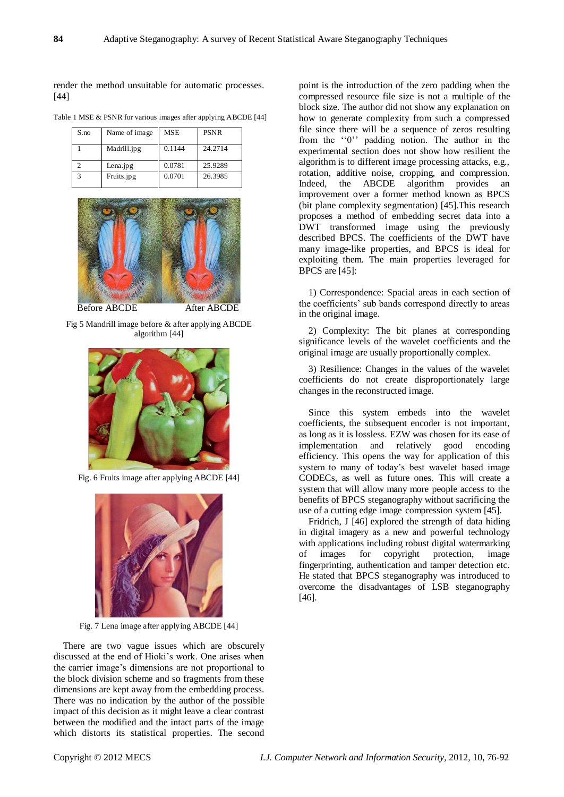render the method unsuitable for automatic processes. [44]

Table 1 MSE & PSNR for various images after applying ABCDE [44]

| S.no | Name of image | <b>MSE</b> | <b>PSNR</b> |
|------|---------------|------------|-------------|
|      | Madrill.jpg   | 0.1144     | 24.2714     |
|      | Lena.jpg      | 0.0781     | 25.9289     |
|      | Fruits.jpg    | 0.0701     | 26.3985     |



Fig 5 Mandrill image before & after applying ABCDE algorithm [44]



Fig. 6 Fruits image after applying ABCDE [44]



Fig. 7 Lena image after applying ABCDE [44]

There are two vague issues which are obscurely discussed at the end of Hioki's work. One arises when the carrier image's dimensions are not proportional to the block division scheme and so fragments from these dimensions are kept away from the embedding process. There was no indication by the author of the possible impact of this decision as it might leave a clear contrast between the modified and the intact parts of the image which distorts its statistical properties. The second

point is the introduction of the zero padding when the compressed resource file size is not a multiple of the block size. The author did not show any explanation on how to generate complexity from such a compressed file since there will be a sequence of zeros resulting from the "0" padding notion. The author in the experimental section does not show how resilient the algorithm is to different image processing attacks, e.g., rotation, additive noise, cropping, and compression. Indeed, the ABCDE algorithm provides an improvement over a former method known as BPCS (bit plane complexity segmentation) [45].This research proposes a method of embedding secret data into a DWT transformed image using the previously described BPCS. The coefficients of the DWT have many image-like properties, and BPCS is ideal for exploiting them. The main properties leveraged for BPCS are [45]:

1) Correspondence: Spacial areas in each section of the coefficients' sub bands correspond directly to areas in the original image.

2) Complexity: The bit planes at corresponding significance levels of the wavelet coefficients and the original image are usually proportionally complex.

3) Resilience: Changes in the values of the wavelet coefficients do not create disproportionately large changes in the reconstructed image.

Since this system embeds into the wavelet coefficients, the subsequent encoder is not important, as long as it is lossless. EZW was chosen for its ease of implementation and relatively good encoding efficiency. This opens the way for application of this system to many of today's best wavelet based image CODECs, as well as future ones. This will create a system that will allow many more people access to the benefits of BPCS steganography without sacrificing the use of a cutting edge image compression system [45].

Fridrich, J [46] explored the strength of data hiding in digital imagery as a new and powerful technology with applications including robust digital watermarking of images for copyright protection, image fingerprinting, authentication and tamper detection etc. He stated that BPCS steganography was introduced to overcome the disadvantages of LSB steganography [46].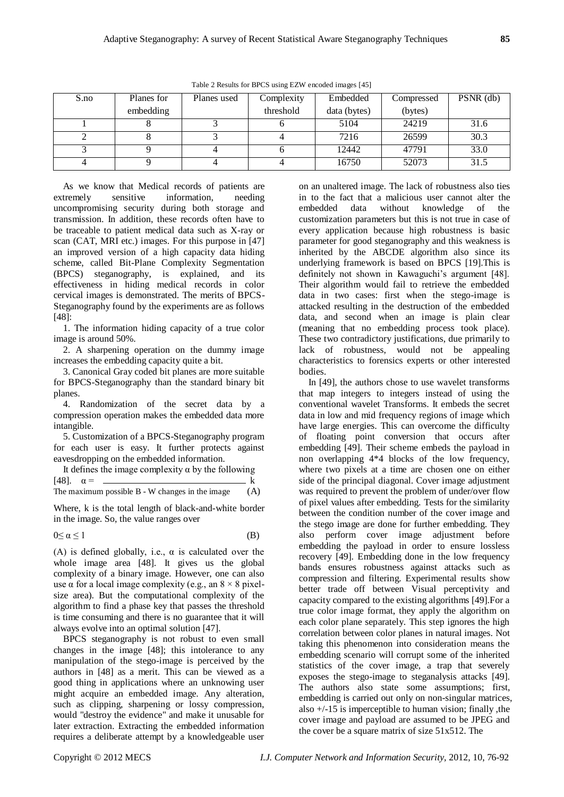| S.no | Planes for | Planes used | Complexity | Embedded     | Compressed | PSNR (db) |
|------|------------|-------------|------------|--------------|------------|-----------|
|      | embedding  |             | threshold  | data (bytes) | (bytes)    |           |
|      |            |             |            | 5104         | 24219      | 31.6      |
|      |            |             |            | 7216         | 26599      | 30.3      |
|      |            |             |            | 12442        | 47791      | 33.0      |
|      |            |             |            | 16750        | 52073      | 31.5      |

Table 2 Results for BPCS using EZW encoded images [45]

As we know that Medical records of patients are extremely sensitive information, needing uncompromising security during both storage and transmission. In addition, these records often have to be traceable to patient medical data such as X-ray or scan (CAT, MRI etc.) images. For this purpose in [47] an improved version of a high capacity data hiding scheme, called Bit-Plane Complexity Segmentation (BPCS) steganography, is explained, and its effectiveness in hiding medical records in color cervical images is demonstrated. The merits of BPCS-Steganography found by the experiments are as follows [48]:

1. The information hiding capacity of a true color image is around 50%.

2. A sharpening operation on the dummy image increases the embedding capacity quite a bit.

3. Canonical Gray coded bit planes are more suitable for BPCS-Steganography than the standard binary bit planes.

4. Randomization of the secret data by a compression operation makes the embedded data more intangible.

5. Customization of a BPCS-Steganography program for each user is easy. It further protects against eavesdropping on the embedded information.

It defines the image complexity  $\alpha$  by the following [48].  $\alpha =$  k<br>The maximum possible B. W changes in the image (A)  $\Gamma$  is maximum possible B  $\mu$  W ch

The maximum possible 
$$
B - W
$$
 changes in the image  $(A)$ 

Where, k is the total length of black-and-white border in the image. So, the value ranges over

 $0 \le \alpha \le 1$  (B)

(A) is defined globally, i.e.,  $\alpha$  is calculated over the whole image area [48]. It gives us the global complexity of a binary image. However, one can also use  $\alpha$  for a local image complexity (e.g., an  $8 \times 8$  pixelsize area). But the computational complexity of the algorithm to find a phase key that passes the threshold is time consuming and there is no guarantee that it will always evolve into an optimal solution [47].

BPCS steganography is not robust to even small changes in the image [48]; this intolerance to any manipulation of the stego-image is perceived by the authors in [48] as a merit. This can be viewed as a good thing in applications where an unknowing user might acquire an embedded image. Any alteration, such as clipping, sharpening or lossy compression, would "destroy the evidence" and make it unusable for later extraction. Extracting the embedded information requires a deliberate attempt by a knowledgeable user

on an unaltered image. The lack of robustness also ties in to the fact that a malicious user cannot alter the embedded data without knowledge of the customization parameters but this is not true in case of every application because high robustness is basic parameter for good steganography and this weakness is inherited by the ABCDE algorithm also since its underlying framework is based on BPCS [19].This is definitely not shown in Kawaguchi's argument [48]. Their algorithm would fail to retrieve the embedded data in two cases: first when the stego-image is attacked resulting in the destruction of the embedded data, and second when an image is plain clear (meaning that no embedding process took place). These two contradictory justifications, due primarily to lack of robustness, would not be appealing characteristics to forensics experts or other interested bodies.

In [49], the authors chose to use wavelet transforms that map integers to integers instead of using the conventional wavelet Transforms. It embeds the secret data in low and mid frequency regions of image which have large energies. This can overcome the difficulty of floating point conversion that occurs after embedding [49]. Their scheme embeds the payload in non overlapping 4\*4 blocks of the low frequency, where two pixels at a time are chosen one on either side of the principal diagonal. Cover image adjustment was required to prevent the problem of under/over flow of pixel values after embedding. Tests for the similarity between the condition number of the cover image and the stego image are done for further embedding. They also perform cover image adjustment before embedding the payload in order to ensure lossless recovery [49]. Embedding done in the low frequency bands ensures robustness against attacks such as compression and filtering. Experimental results show better trade off between Visual perceptivity and capacity compared to the existing algorithms [49].For a true color image format, they apply the algorithm on each color plane separately. This step ignores the high correlation between color planes in natural images. Not taking this phenomenon into consideration means the embedding scenario will corrupt some of the inherited statistics of the cover image, a trap that severely exposes the stego-image to steganalysis attacks [49]. The authors also state some assumptions; first, embedding is carried out only on non-singular matrices, also  $+/-15$  is imperceptible to human vision; finally, the cover image and payload are assumed to be JPEG and the cover be a square matrix of size 51x512. The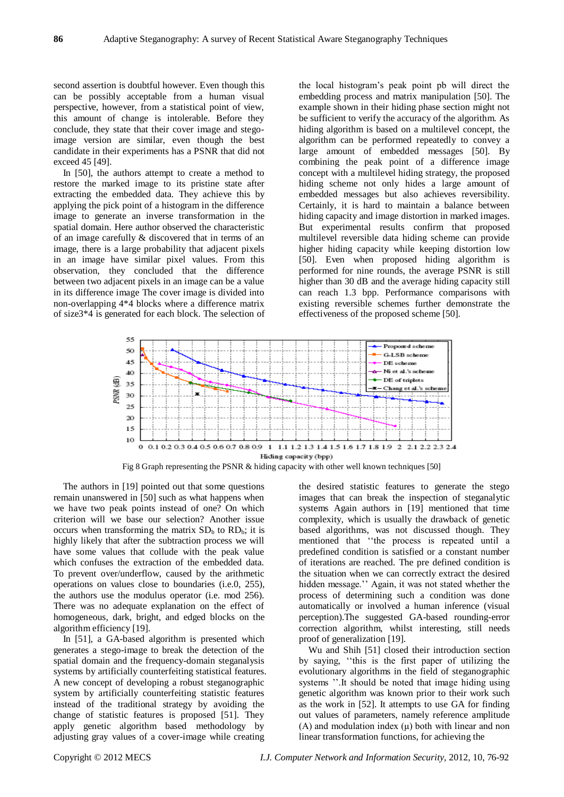second assertion is doubtful however. Even though this can be possibly acceptable from a human visual perspective, however, from a statistical point of view, this amount of change is intolerable. Before they conclude, they state that their cover image and stegoimage version are similar, even though the best candidate in their experiments has a PSNR that did not exceed 45 [49].

In [50], the authors attempt to create a method to restore the marked image to its pristine state after extracting the embedded data. They achieve this by applying the pick point of a histogram in the difference image to generate an inverse transformation in the spatial domain. Here author observed the characteristic of an image carefully & discovered that in terms of an image, there is a large probability that adjacent pixels in an image have similar pixel values. From this observation, they concluded that the difference between two adjacent pixels in an image can be a value in its difference image The cover image is divided into non-overlapping 4\*4 blocks where a difference matrix of size3\*4 is generated for each block. The selection of

the local histogram's peak point pb will direct the embedding process and matrix manipulation [50]. The example shown in their hiding phase section might not be sufficient to verify the accuracy of the algorithm. As hiding algorithm is based on a multilevel concept, the algorithm can be performed repeatedly to convey a large amount of embedded messages [50]. By combining the peak point of a difference image concept with a multilevel hiding strategy, the proposed hiding scheme not only hides a large amount of embedded messages but also achieves reversibility. Certainly, it is hard to maintain a balance between hiding capacity and image distortion in marked images. But experimental results confirm that proposed multilevel reversible data hiding scheme can provide higher hiding capacity while keeping distortion low [50]. Even when proposed hiding algorithm is performed for nine rounds, the average PSNR is still higher than 30 dB and the average hiding capacity still can reach 1.3 bpp. Performance comparisons with existing reversible schemes further demonstrate the effectiveness of the proposed scheme [50].



The authors in [19] pointed out that some questions remain unanswered in [50] such as what happens when we have two peak points instead of one? On which criterion will we base our selection? Another issue occurs when transforming the matrix  $SD<sub>b</sub>$  to  $RD<sub>b</sub>$ ; it is highly likely that after the subtraction process we will have some values that collude with the peak value which confuses the extraction of the embedded data. To prevent over/underflow, caused by the arithmetic operations on values close to boundaries (i.e.0, 255), the authors use the modulus operator (i.e. mod 256). There was no adequate explanation on the effect of homogeneous, dark, bright, and edged blocks on the algorithm efficiency [19].

In [51], a GA-based algorithm is presented which generates a stego-image to break the detection of the spatial domain and the frequency-domain steganalysis systems by artificially counterfeiting statistical features. A new concept of developing a robust steganographic system by artificially counterfeiting statistic features instead of the traditional strategy by avoiding the change of statistic features is proposed [51]. They apply genetic algorithm based methodology by adjusting gray values of a cover-image while creating

the desired statistic features to generate the stego images that can break the inspection of steganalytic systems Again authors in [19] mentioned that time complexity, which is usually the drawback of genetic based algorithms, was not discussed though. They mentioned that "the process is repeated until a predefined condition is satisfied or a constant number of iterations are reached. The pre defined condition is the situation when we can correctly extract the desired hidden message.'' Again, it was not stated whether the process of determining such a condition was done automatically or involved a human inference (visual perception).The suggested GA-based rounding-error correction algorithm, whilst interesting, still needs proof of generalization [19].

Wu and Shih [51] closed their introduction section by saying, "this is the first paper of utilizing the evolutionary algorithms in the field of steganographic systems ".It should be noted that image hiding using genetic algorithm was known prior to their work such as the work in [52]. It attempts to use GA for finding out values of parameters, namely reference amplitude (A) and modulation index  $(\mu)$  both with linear and non linear transformation functions, for achieving the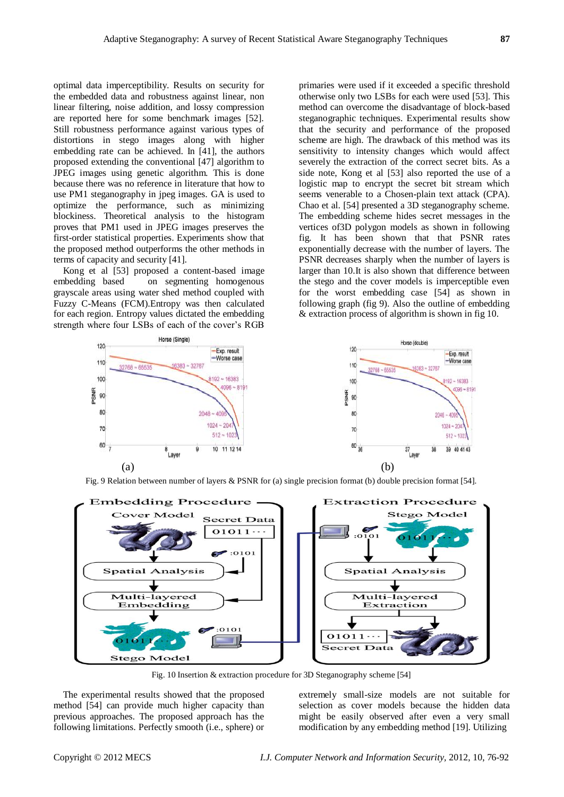optimal data imperceptibility. Results on security for the embedded data and robustness against linear, non linear filtering, noise addition, and lossy compression are reported here for some benchmark images [52]. Still robustness performance against various types of distortions in stego images along with higher embedding rate can be achieved. In [41], the authors proposed extending the conventional [47] algorithm to JPEG images using genetic algorithm. This is done because there was no reference in literature that how to use PM1 steganography in jpeg images. GA is used to optimize the performance, such as minimizing blockiness. Theoretical analysis to the histogram proves that PM1 used in JPEG images preserves the first-order statistical properties. Experiments show that the proposed method outperforms the other methods in terms of capacity and security [41].

Kong et al [53] proposed a content-based image embedding based on segmenting homogenous grayscale areas using water shed method coupled with Fuzzy C-Means (FCM).Entropy was then calculated for each region. Entropy values dictated the embedding strength where four LSBs of each of the cover's RGB primaries were used if it exceeded a specific threshold otherwise only two LSBs for each were used [53]. This method can overcome the disadvantage of block-based steganographic techniques. Experimental results show that the security and performance of the proposed scheme are high. The drawback of this method was its sensitivity to intensity changes which would affect severely the extraction of the correct secret bits. As a side note, Kong et al [53] also reported the use of a logistic map to encrypt the secret bit stream which seems venerable to a Chosen-plain text attack (CPA). Chao et al. [54] presented a 3D steganography scheme. The embedding scheme hides secret messages in the vertices of3D polygon models as shown in following fig. It has been shown that that PSNR rates exponentially decrease with the number of layers. The PSNR decreases sharply when the number of layers is larger than 10.It is also shown that difference between the stego and the cover models is imperceptible even for the worst embedding case [54] as shown in following graph (fig 9). Also the outline of embedding & extraction process of algorithm is shown in fig 10.



Fig. 9 Relation between number of layers & PSNR for (a) single precision format (b) double precision format [54].



Fig. 10 Insertion & extraction procedure for 3D Steganography scheme [54]

The experimental results showed that the proposed method [54] can provide much higher capacity than previous approaches. The proposed approach has the following limitations. Perfectly smooth (i.e., sphere) or

extremely small-size models are not suitable for selection as cover models because the hidden data might be easily observed after even a very small modification by any embedding method [19]. Utilizing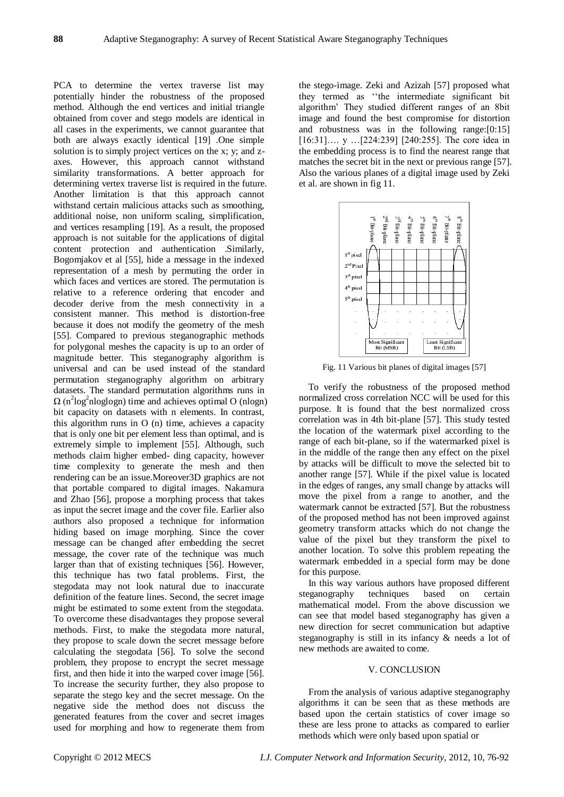PCA to determine the vertex traverse list may potentially hinder the robustness of the proposed method. Although the end vertices and initial triangle obtained from cover and stego models are identical in all cases in the experiments, we cannot guarantee that both are always exactly identical [19] .One simple solution is to simply project vertices on the x; y; and zaxes. However, this approach cannot withstand similarity transformations. A better approach for determining vertex traverse list is required in the future. Another limitation is that this approach cannot withstand certain malicious attacks such as smoothing, additional noise, non uniform scaling, simplification, and vertices resampling [19]. As a result, the proposed approach is not suitable for the applications of digital content protection and authentication .Similarly, Bogomjakov et al [55], hide a message in the indexed representation of a mesh by permuting the order in which faces and vertices are stored. The permutation is relative to a reference ordering that encoder and decoder derive from the mesh connectivity in a consistent manner. This method is distortion-free because it does not modify the geometry of the mesh [55]. Compared to previous steganographic methods for polygonal meshes the capacity is up to an order of magnitude better. This steganography algorithm is universal and can be used instead of the standard permutation steganography algorithm on arbitrary datasets. The standard permutation algorithms runs in  $\Omega$  (n<sup>2</sup>log<sup>2</sup>nloglogn) time and achieves optimal O (nlogn) bit capacity on datasets with n elements. In contrast, this algorithm runs in O (n) time, achieves a capacity that is only one bit per element less than optimal, and is extremely simple to implement [55]. Although, such methods claim higher embed- ding capacity, however time complexity to generate the mesh and then rendering can be an issue.Moreover3D graphics are not that portable compared to digital images. Nakamura and Zhao [56], propose a morphing process that takes as input the secret image and the cover file. Earlier also authors also proposed a technique for information hiding based on image morphing. Since the cover message can be changed after embedding the secret message, the cover rate of the technique was much larger than that of existing techniques [56]. However, this technique has two fatal problems. First, the stegodata may not look natural due to inaccurate definition of the feature lines. Second, the secret image might be estimated to some extent from the stegodata. To overcome these disadvantages they propose several methods. First, to make the stegodata more natural, they propose to scale down the secret message before calculating the stegodata [56]. To solve the second problem, they propose to encrypt the secret message first, and then hide it into the warped cover image [56]. To increase the security further, they also propose to separate the stego key and the secret message. On the negative side the method does not discuss the generated features from the cover and secret images used for morphing and how to regenerate them from

the stego-image. Zeki and Azizah [57] proposed what they termed as "the intermediate significant bit algorithm' They studied different ranges of an 8bit image and found the best compromise for distortion and robustness was in the following range:[0:15] [16:31]…. y …[224:239] [240:255]. The core idea in the embedding process is to find the nearest range that matches the secret bit in the next or previous range [57]. Also the various planes of a digital image used by Zeki et al. are shown in fig 11.



Fig. 11 Various bit planes of digital images [57]

To verify the robustness of the proposed method normalized cross correlation NCC will be used for this purpose. It is found that the best normalized cross correlation was in 4th bit-plane [57]. This study tested the location of the watermark pixel according to the range of each bit-plane, so if the watermarked pixel is in the middle of the range then any effect on the pixel by attacks will be difficult to move the selected bit to another range [57]. While if the pixel value is located in the edges of ranges, any small change by attacks will move the pixel from a range to another, and the watermark cannot be extracted [57]. But the robustness of the proposed method has not been improved against geometry transform attacks which do not change the value of the pixel but they transform the pixel to another location. To solve this problem repeating the watermark embedded in a special form may be done for this purpose.

In this way various authors have proposed different steganography techniques based on certain mathematical model. From the above discussion we can see that model based steganography has given a new direction for secret communication but adaptive steganography is still in its infancy & needs a lot of new methods are awaited to come.

## V. CONCLUSION

From the analysis of various adaptive steganography algorithms it can be seen that as these methods are based upon the certain statistics of cover image so these are less prone to attacks as compared to earlier methods which were only based upon spatial or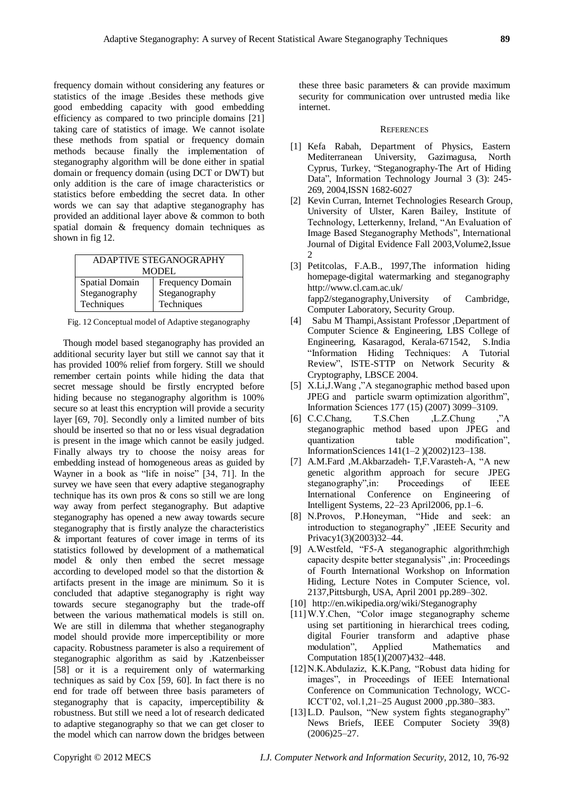frequency domain without considering any features or statistics of the image .Besides these methods give good embedding capacity with good embedding efficiency as compared to two principle domains [21] taking care of statistics of image. We cannot isolate these methods from spatial or frequency domain methods because finally the implementation of steganography algorithm will be done either in spatial domain or frequency domain (using DCT or DWT) but only addition is the care of image characteristics or statistics before embedding the secret data. In other words we can say that adaptive steganography has provided an additional layer above & common to both spatial domain & frequency domain techniques as shown in fig 12.

| ADAPTIVE STEGANOGRAPHY |                         |  |  |  |
|------------------------|-------------------------|--|--|--|
| <b>MODEL</b>           |                         |  |  |  |
| Spatial Domain         | <b>Frequency Domain</b> |  |  |  |
| Steganography          | Steganography           |  |  |  |
| Techniques             | Techniques              |  |  |  |

Fig. 12 Conceptual model of Adaptive steganography

Though model based steganography has provided an additional security layer but still we cannot say that it has provided 100% relief from forgery. Still we should remember certain points while hiding the data that secret message should be firstly encrypted before hiding because no steganography algorithm is 100% secure so at least this encryption will provide a security layer [69, 70]. Secondly only a limited number of bits should be inserted so that no or less visual degradation is present in the image which cannot be easily judged. Finally always try to choose the noisy areas for embedding instead of homogeneous areas as guided by Wayner in a book as "life in noise" [34, 71]. In the survey we have seen that every adaptive steganography technique has its own pros & cons so still we are long way away from perfect steganography. But adaptive steganography has opened a new away towards secure steganography that is firstly analyze the characteristics & important features of cover image in terms of its statistics followed by development of a mathematical model & only then embed the secret message according to developed model so that the distortion & artifacts present in the image are minimum. So it is concluded that adaptive steganography is right way towards secure steganography but the trade-off between the various mathematical models is still on. We are still in dilemma that whether steganography model should provide more imperceptibility or more capacity. Robustness parameter is also a requirement of steganographic algorithm as said by .Katzenbeisser [58] or it is a requirement only of watermarking techniques as said by Cox [59, 60]. In fact there is no end for trade off between three basis parameters of steganography that is capacity, imperceptibility & robustness. But still we need a lot of research dedicated to adaptive steganography so that we can get closer to the model which can narrow down the bridges between

these three basic parameters & can provide maximum security for communication over untrusted media like internet.

#### **REFERENCES**

- [1] Kefa Rabah, Department of Physics, Eastern Mediterranean University, Gazimagusa, North Cyprus, Turkey, "Steganography-The Art of Hiding Data", Information Technology Journal 3 (3): 245-269, 2004,ISSN 1682-6027
- [2] Kevin Curran, Internet Technologies Research Group, University of Ulster, Karen Bailey, Institute of Technology, Letterkenny, Ireland, "An Evaluation of Image Based Steganography Methods", International Journal of Digital Evidence Fall 2003,Volume2,Issue 2
- [3] Petitcolas, F.A.B., 1997,The information hiding homepage-digital watermarking and steganography http://www.cl.cam.ac.uk/ fapp2/steganography,University of Cambridge, Computer Laboratory, Security Group.
- [4] Sabu M Thampi,Assistant Professor ,Department of Computer Science & Engineering, LBS College of Engineering, Kasaragod, Kerala-671542, S.India "Information Hiding Techniques: A Tutorial Review", ISTE-STTP on Network Security & Cryptography, LBSCE 2004.
- [5] X.Li,J.Wang,"A steganographic method based upon JPEG and particle swarm optimization algorithm", Information Sciences 177 (15) (2007) 3099–3109.
- [6] C.C.Chang, T.S.Chen , L.Z.Chung , "A steganographic method based upon JPEG and quantization table modification", InformationSciences 141(1–2 )(2002)123–138.
- [7] A.M.Fard ,M.Akbarzadeh- T.F.Varasteh-A, "A new genetic algorithm approach for secure JPEG steganography", in: Proceedings of IEEE International Conference on Engineering of Intelligent Systems, 22–23 April2006, pp.1–6.
- [8] N.Provos, P.Honeyman, "Hide and seek: an introduction to steganography", IEEE Security and Privacy1(3)(2003)32–44.
- [9] A.Westfeld, "F5-A steganographic algorithm:high capacity despite better steganalysis", in: Proceedings of Fourth International Workshop on Information Hiding, Lecture Notes in Computer Science, vol. 2137,Pittsburgh, USA, April 2001 pp.289–302.
- [10] http://en.wikipedia.org/wiki/Steganography
- [11]W.Y.Chen, "Color image steganography scheme using set partitioning in hierarchical trees coding, digital Fourier transform and adaptive phase modulation", Applied Mathematics and Computation 185(1)(2007)432–448.
- [12]N.K.Abdulaziz, K.K.Pang, "Robust data hiding for images", in Proceedings of IEEE International Conference on Communication Technology, WCC-ICCT'02, vol.1,21–25 August 2000 ,pp.380–383.
- [13] L.D. Paulson, "New system fights steganography" News Briefs, IEEE Computer Society 39(8) (2006)25–27.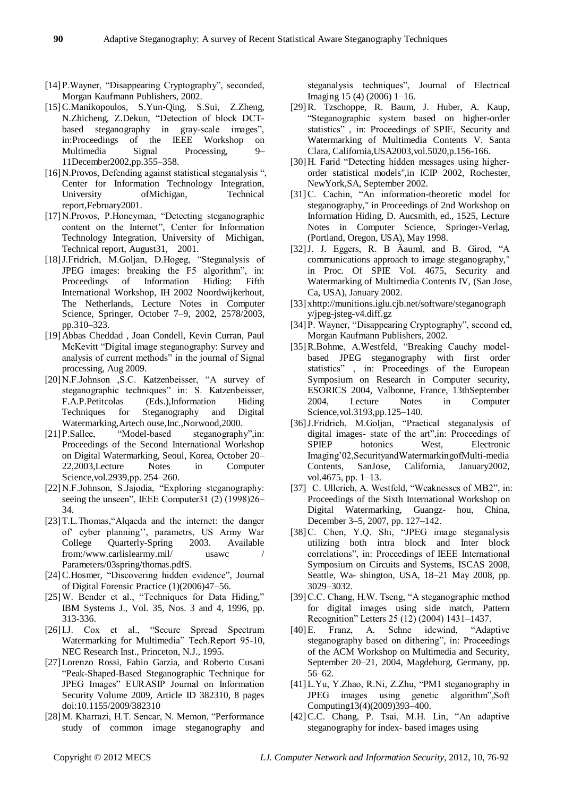- [14] P. Wayner, "Disappearing Cryptography", seconded, Morgan Kaufmann Publishers, 2002.
- [15]C.Manikopoulos, S.Yun-Qing, S.Sui, Z.Zheng, N.Zhicheng, Z.Dekun, "Detection of block DCTbased steganography in gray-scale images", in:Proceedings of the IEEE Workshop on Multimedia Signal Processing, 9– 11December2002,pp.355–358.
- [16] N.Provos, Defending against statistical steganalysis ", Center for Information Technology Integration, University of Michigan, Technical report,February2001.
- [17] N.Provos, P.Honeyman, "Detecting steganographic content on the Internet", Center for Information Technology Integration, University of Michigan, Technical report, August31, 2001.
- [18] J.Fridrich, M.Goljan, D.Hogeg, "Steganalysis of JPEG images: breaking the F5 algorithm", in: Proceedings of Information Hiding: Fifth International Workshop, IH 2002 Noordwijkerhout, The Netherlands, Lecture Notes in Computer Science, Springer, October 7–9, 2002, 2578/2003, pp.310–323.
- [19]Abbas Cheddad , Joan Condell, Kevin Curran, Paul McKevitt "Digital image steganography: Survey and analysis of current methods" in the journal of Signal processing, Aug 2009.
- [20] N.F. Johnson , S.C. Katzenbeisser, "A survey of steganographic techniques" in: S. Katzenbeisser, F.A.P.Petitcolas (Eds.),Information Hiding Techniques for Steganography and Digital Watermarking,Artech ouse,Inc.,Norwood,2000.
- [21] P.Sallee, "Model-based steganography", in: Proceedings of the Second International Workshop on Digital Watermarking, Seoul, Korea, October 20– 22,2003,Lecture Notes in Computer Science,vol.2939,pp. 254–260.
- [22] N.F.Johnson, S.Jajodia, "Exploring steganography: seeing the unseen", IEEE Computer31 (2) (1998)26– 34.
- [23] T.L.Thomas, "Alqaeda and the internet: the danger of' cyber planning'', parametrs, US Army War College Quarterly-Spring 2003. Available from:/www.carlislearmy.mil/ usawc / Parameters/03spring/thomas.pdfS.
- [24] C.Hosmer, "Discovering hidden evidence", Journal of Digital Forensic Practice (1)(2006)47–56.
- [25] W. Bender et al., "Techniques for Data Hiding," IBM Systems J., Vol. 35, Nos. 3 and 4, 1996, pp. 313-336.
- [26] I.J. Cox et al., "Secure Spread Spectrum Watermarking for Multimedia" Tech.Report 95-10, NEC Research Inst., Princeton, N.J., 1995.
- [27]Lorenzo Rossi, Fabio Garzia, and Roberto Cusani ―Peak-Shaped-Based Steganographic Technique for JPEG Images" EURASIP Journal on Information Security Volume 2009, Article ID 382310, 8 pages doi:10.1155/2009/382310
- [28] M. Kharrazi, H.T. Sencar, N. Memon, "Performance" study of common image steganography and

steganalysis techniques", Journal of Electrical Imaging 15 (4) (2006) 1–16.

- [29]R. Tzschoppe, R. Baum, J. Huber, A. Kaup, ―Steganographic system based on higher-order statistics", in: Proceedings of SPIE, Security and Watermarking of Multimedia Contents V. Santa Clara, California,USA2003,vol.5020,p.156-166.
- [30] H. Farid "Detecting hidden messages using higherorder statistical models",in ICIP 2002, Rochester, NewYork,SA, September 2002.
- [31] C. Cachin, "An information-theoretic model for steganography," in Proceedings of 2nd Workshop on Information Hiding, D. Aucsmith, ed., 1525, Lecture Notes in Computer Science, Springer-Verlag, (Portland, Oregon, USA), May 1998.
- $[32]$ J. J. Eggers, R. B  $\ddot{A}$  auml, and B. Girod, "A communications approach to image steganography," in Proc. Of SPIE Vol. 4675, Security and Watermarking of Multimedia Contents IV, (San Jose, Ca, USA), January 2002.
- [33] xhttp://munitions.iglu.cjb.net/software/steganograph y/jpeg-jsteg-v4.diff.gz
- [34] P. Wayner, "Disappearing Cryptography", second ed, Morgan Kaufmann Publishers, 2002.
- [35] R.Bohme, A.Westfeld, "Breaking Cauchy modelbased JPEG steganography with first order statistics", in: Proceedings of the European Symposium on Research in Computer security, ESORICS 2004, Valbonne, France, 13thSeptember 2004, Lecture Notes in Computer Science,vol.3193,pp.125–140.
- [36] J.Fridrich, M.Goljan, "Practical steganalysis of digital images- state of the art", in: Proceedings of SPIEP hotonics West, Electronic Imaging'02,SecurityandWatermarkingofMulti-media Contents, SanJose, California, January2002, vol.4675, pp. 1–13.
- [37] C. Ullerich, A. Westfeld, "Weaknesses of MB2", in: Proceedings of the Sixth International Workshop on Digital Watermarking, Guangz- hou, China, December 3–5, 2007, pp. 127–142.
- [38] C. Chen, Y.Q. Shi, "JPEG image steganalysis utilizing both intra block and Inter block correlations", in: Proceedings of IEEE International Symposium on Circuits and Systems, ISCAS 2008, Seattle, Wa- shington, USA, 18–21 May 2008, pp. 3029–3032.
- [39] C.C. Chang, H.W. Tseng, "A steganographic method for digital images using side match, Pattern Recognition‖ Letters 25 (12) (2004) 1431–1437.
- [40] E. Franz, A. Schne idewind, "Adaptive steganography based on dithering", in: Proceedings of the ACM Workshop on Multimedia and Security, September 20–21, 2004, Magdeburg, Germany, pp. 56–62.
- [41] L.Yu, Y.Zhao, R.Ni, Z.Zhu, "PM1 steganography in JPEG images using genetic algorithm",Soft Computing13(4)(2009)393–400.
- $[42]$ C.C. Chang, P. Tsai, M.H. Lin, "An adaptive steganography for index- based images using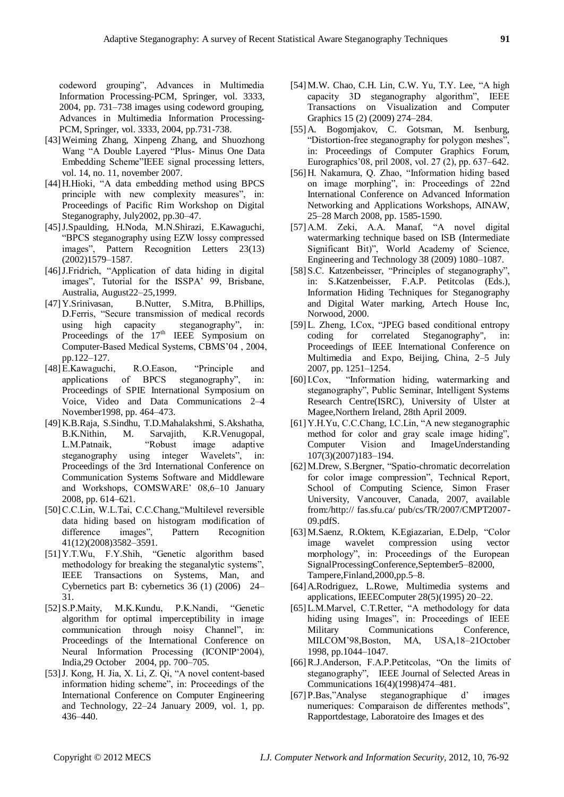codeword grouping", Advances in Multimedia Information Processing-PCM, Springer, vol. 3333, 2004, pp. 731–738 images using codeword grouping, Advances in Multimedia Information Processing-PCM, Springer, vol. 3333, 2004, pp.731-738.

- [43]Weiming Zhang, Xinpeng Zhang, and Shuozhong Wang "A Double Layered "Plus- Minus One Data Embedding Scheme"IEEE signal processing letters, vol. 14, no. 11, november 2007.
- [44] H. Hioki, "A data embedding method using BPCS principle with new complexity measures", in: Proceedings of Pacific Rim Workshop on Digital Steganography, July2002, pp.30–47.
- [45]J.Spaulding, H.Noda, M.N.Shirazi, E.Kawaguchi, ―BPCS steganography using EZW lossy compressed images", Pattern Recognition Letters 23(13) (2002)1579–1587.
- [46] J.Fridrich, "Application of data hiding in digital images", Tutorial for the ISSPA' 99, Brisbane, Australia, August22–25,1999.
- [47]Y.Srinivasan, B.Nutter, S.Mitra, B.Phillips, D.Ferris, "Secure transmission of medical records using high capacity steganography", in: Proceedings of the  $17<sup>th</sup>$  IEEE Symposium on Computer-Based Medical Systems, CBMS'04 , 2004, pp.122–127.
- [48] E.Kawaguchi, R.O.Eason, "Principle and applications of BPCS steganography", in: Proceedings of SPIE International Symposium on Voice, Video and Data Communications 2–4 November1998, pp. 464–473.
- [49]K.B.Raja, S.Sindhu, T.D.Mahalakshmi, S.Akshatha, B.K.Nithin, M. Sarvajith, K.R.Venugopal, L.M.Patnaik, "Robust image adaptive L.M.Patnaik, ―Robust image adaptive steganography using integer Wavelets", in: Proceedings of the 3rd International Conference on Communication Systems Software and Middleware and Workshops, COMSWARE' 08,6–10 January 2008, pp. 614–621.
- [50] C.C.Lin, W.L.Tai, C.C.Chang, "Multilevel reversible data hiding based on histogram modification of difference images", Pattern Recognition 41(12)(2008)3582–3591.
- [51] Y.T.Wu, F.Y.Shih, "Genetic algorithm based methodology for breaking the steganalytic systems", IEEE Transactions on Systems, Man, and Cybernetics part B: cybernetics 36 (1) (2006) 24– 31.
- [52] S.P.Maity, M.K.Kundu, P.K.Nandi, 
"Genetic algorithm for optimal imperceptibility in image communication through noisy Channel", in: Proceedings of the International Conference on Neural Information Processing (ICONIP'2004), India,29 October 2004, pp. 700–705.
- [53] J. Kong, H. Jia, X. Li, Z. Qi, "A novel content-based information hiding scheme", in: Proceedings of the International Conference on Computer Engineering and Technology, 22–24 January 2009, vol. 1, pp. 436–440.
- [54] M.W. Chao, C.H. Lin, C.W. Yu, T.Y. Lee, "A high capacity 3D steganography algorithm", IEEE Transactions on Visualization and Computer Graphics 15 (2) (2009) 274–284.
- [55]A. Bogomjakov, C. Gotsman, M. Isenburg, "Distortion-free steganography for polygon meshes", in: Proceedings of Computer Graphics Forum, Eurographics'08, pril 2008, vol. 27 (2), pp. 637–642.
- [56] H. Nakamura, O. Zhao, "Information hiding based on image morphing", in: Proceedings of 22nd International Conference on Advanced Information Networking and Applications Workshops, AINAW, 25–28 March 2008, pp. 1585-1590.
- [57] A.M. Zeki, A.A. Manaf, "A novel digital watermarking technique based on ISB (Intermediate Significant Bit)", World Academy of Science, Engineering and Technology 38 (2009) 1080–1087.
- [58] S.C. Katzenbeisser, "Principles of steganography", in: S.Katzenbeisser, F.A.P. Petitcolas (Eds.), Information Hiding Techniques for Steganography and Digital Water marking, Artech House Inc, Norwood, 2000.
- [59] L. Zheng, I.Cox, "JPEG based conditional entropy coding for correlated Steganography", in: Proceedings of IEEE International Conference on Multimedia and Expo, Beijing, China, 2–5 July 2007, pp. 1251–1254.
- [60] I.Cox, "Information hiding, watermarking and steganography", Public Seminar, Intelligent Systems Research Centre(ISRC), University of Ulster at Magee,Northern Ireland, 28th April 2009.
- [61] Y.H.Yu, C.C.Chang, I.C.Lin, "A new steganographic method for color and gray scale image hiding", Computer Vision and ImageUnderstanding 107(3)(2007)183–194.
- [62] M.Drew, S.Bergner, "Spatio-chromatic decorrelation for color image compression", Technical Report, School of Computing Science, Simon Fraser University, Vancouver, Canada, 2007, available from:/http:// fas.sfu.ca/ pub/cs/TR/2007/CMPT2007- 09.pdfS.
- [63] M.Saenz, R.Oktem, K.Egiazarian, E.Delp, "Color image wavelet compression using vector morphology", in: Proceedings of the European SignalProcessingConference,September5–82000, Tampere,Finland,2000,pp.5–8.
- [64]A.Rodriguez, L.Rowe, Multimedia systems and applications, IEEEComputer 28(5)(1995) 20–22.
- [65] L.M.Marvel, C.T.Retter, "A methodology for data hiding using Images", in: Proceedings of IEEE Military Communications Conference, MILCOM'98,Boston, MA, USA,18–21October 1998, pp.1044–1047.
- [66] R.J.Anderson, F.A.P.Petitcolas, "On the limits of steganography", IEEE Journal of Selected Areas in Communications 16(4)(1998)474–481.
- [67] P.Bas,"Analyse steganographique d' images numeriques: Comparaison de differentes methods", Rapportdestage, Laboratoire des Images et des